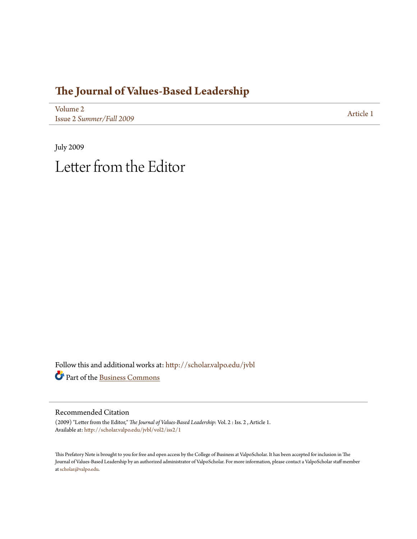## **[The Journal of Values-Based Leadership](http://scholar.valpo.edu/jvbl?utm_source=scholar.valpo.edu%2Fjvbl%2Fvol2%2Fiss2%2F1&utm_medium=PDF&utm_campaign=PDFCoverPages)**

[Volume 2](http://scholar.valpo.edu/jvbl/vol2?utm_source=scholar.valpo.edu%2Fjvbl%2Fvol2%2Fiss2%2F1&utm_medium=PDF&utm_campaign=PDFCoverPages) Issue 2 *[Summer/Fall 2009](http://scholar.valpo.edu/jvbl/vol2/iss2?utm_source=scholar.valpo.edu%2Fjvbl%2Fvol2%2Fiss2%2F1&utm_medium=PDF&utm_campaign=PDFCoverPages)* [Article 1](http://scholar.valpo.edu/jvbl/vol2/iss2/1?utm_source=scholar.valpo.edu%2Fjvbl%2Fvol2%2Fiss2%2F1&utm_medium=PDF&utm_campaign=PDFCoverPages)

July 2009 Letter from the Editor

Follow this and additional works at: [http://scholar.valpo.edu/jvbl](http://scholar.valpo.edu/jvbl?utm_source=scholar.valpo.edu%2Fjvbl%2Fvol2%2Fiss2%2F1&utm_medium=PDF&utm_campaign=PDFCoverPages) Part of the [Business Commons](http://network.bepress.com/hgg/discipline/622?utm_source=scholar.valpo.edu%2Fjvbl%2Fvol2%2Fiss2%2F1&utm_medium=PDF&utm_campaign=PDFCoverPages)

Recommended Citation

(2009) "Letter from the Editor," *The Journal of Values-Based Leadership*: Vol. 2 : Iss. 2 , Article 1. Available at: [http://scholar.valpo.edu/jvbl/vol2/iss2/1](http://scholar.valpo.edu/jvbl/vol2/iss2/1?utm_source=scholar.valpo.edu%2Fjvbl%2Fvol2%2Fiss2%2F1&utm_medium=PDF&utm_campaign=PDFCoverPages)

This Prefatory Note is brought to you for free and open access by the College of Business at ValpoScholar. It has been accepted for inclusion in The Journal of Values-Based Leadership by an authorized administrator of ValpoScholar. For more information, please contact a ValpoScholar staff member at [scholar@valpo.edu.](mailto:scholar@valpo.edu)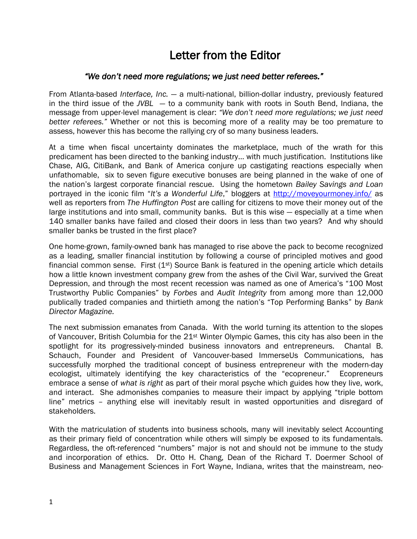## Letter from the Editor

## *―We don't need more regulations; we just need better referees.‖*

From Atlanta-based *Interface, Inc.* — a multi-national, billion-dollar industry, previously featured in the third issue of the *JVBL* — to a community bank with roots in South Bend, Indiana, the message from upper-level management is clear: "We don't need more regulations; we just need *better referees.‖* Whether or not this is becoming more of a reality may be too premature to assess, however this has become the rallying cry of so many business leaders.

At a time when fiscal uncertainty dominates the marketplace, much of the wrath for this predicament has been directed to the banking industry… with much justification. Institutions like Chase, AIG, CitiBank, and Bank of America conjure up castigating reactions especially when unfathomable, six to seven figure executive bonuses are being planned in the wake of one of the nation's largest corporate financial rescue. Using the hometown *Bailey Savings and Loan*  portrayed in the iconic film "It's a Wonderful Life," bloggers at http://moveyourmoney.info/ as well as reporters from *The Huffington Post* are calling for citizens to move their money out of the large institutions and into small, community banks. But is this wise — especially at a time when 140 smaller banks have failed and closed their doors in less than two years? And why should smaller banks be trusted in the first place?

One home-grown, family-owned bank has managed to rise above the pack to become recognized as a leading, smaller financial institution by following a course of principled motives and good financial common sense. First  $(1<sup>st</sup>)$  Source Bank is featured in the opening article which details how a little known investment company grew from the ashes of the Civil War, survived the Great Depression, and through the most recent recession was named as one of America's "100 Most Trustworthy Public Companies‖ by *Forbes* and *Audit Integrity* from among more than 12,000 publically traded companies and thirtieth among the nation's "Top Performing Banks" by Bank *Director Magazine.* 

The next submission emanates from Canada. With the world turning its attention to the slopes of Vancouver, British Columbia for the 21<sup>st</sup> Winter Olympic Games, this city has also been in the spotlight for its progressively-minded business innovators and entrepreneurs. Chantal B. Schauch, Founder and President of Vancouver-based ImmerseUs Communications, has successfully morphed the traditional concept of business entrepreneur with the modern-day ecologist, ultimately identifying the key characteristics of the "ecopreneur." Ecopreneurs embrace a sense of *what is right* as part of their moral psyche which guides how they live, work, and interact. She admonishes companies to measure their impact by applying "triple bottom line" metrics - anything else will inevitably result in wasted opportunities and disregard of stakeholders.

With the matriculation of students into business schools, many will inevitably select Accounting as their primary field of concentration while others will simply be exposed to its fundamentals. Regardless, the oft-referenced "numbers" major is not and should not be immune to the study and incorporation of ethics. Dr. Otto H. Chang, Dean of the Richard T. Doermer School of Business and Management Sciences in Fort Wayne, Indiana, writes that the mainstream, neo